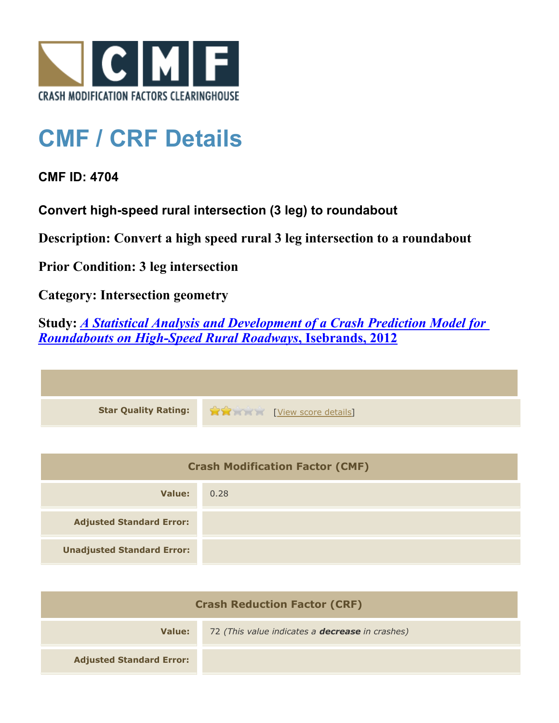

## **CMF / CRF Details**

## **CMF ID: 4704**

**Convert high-speed rural intersection (3 leg) to roundabout**

**Description: Convert a high speed rural 3 leg intersection to a roundabout**

**Prior Condition: 3 leg intersection**

**Category: Intersection geometry**

**Study:** *[A Statistical Analysis and Development of a Crash Prediction Model for](http://www.cmfclearinghouse.org/study_detail.cfm?stid=304) [Roundabouts on High-Speed Rural Roadways](http://www.cmfclearinghouse.org/study_detail.cfm?stid=304)***[, Isebrands, 2012](http://www.cmfclearinghouse.org/study_detail.cfm?stid=304)**

| Star Quality Rating: 19 20 [View score details] |
|-------------------------------------------------|

| <b>Crash Modification Factor (CMF)</b> |      |
|----------------------------------------|------|
| Value:                                 | 0.28 |
| <b>Adjusted Standard Error:</b>        |      |
| <b>Unadjusted Standard Error:</b>      |      |

| <b>Crash Reduction Factor (CRF)</b> |                                                        |
|-------------------------------------|--------------------------------------------------------|
| Value:                              | 72 (This value indicates a <b>decrease</b> in crashes) |
| <b>Adjusted Standard Error:</b>     |                                                        |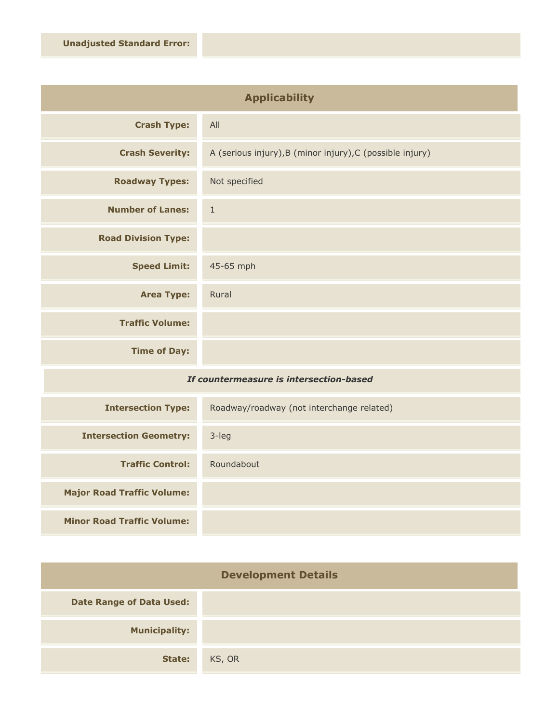| <b>Applicability</b>       |                                                           |
|----------------------------|-----------------------------------------------------------|
| <b>Crash Type:</b>         | All                                                       |
| <b>Crash Severity:</b>     | A (serious injury), B (minor injury), C (possible injury) |
| <b>Roadway Types:</b>      | Not specified                                             |
| <b>Number of Lanes:</b>    | $\mathbf{1}$                                              |
| <b>Road Division Type:</b> |                                                           |
| <b>Speed Limit:</b>        | 45-65 mph                                                 |
| <b>Area Type:</b>          | Rural                                                     |
| <b>Traffic Volume:</b>     |                                                           |
| <b>Time of Day:</b>        |                                                           |
| $-$<br>.                   |                                                           |

## *If countermeasure is intersection-based*

| <b>Intersection Type:</b>         | Roadway/roadway (not interchange related) |
|-----------------------------------|-------------------------------------------|
| <b>Intersection Geometry:</b>     | 3-leg                                     |
| <b>Traffic Control:</b>           | Roundabout                                |
| <b>Major Road Traffic Volume:</b> |                                           |
| <b>Minor Road Traffic Volume:</b> |                                           |

| <b>Development Details</b>      |        |
|---------------------------------|--------|
| <b>Date Range of Data Used:</b> |        |
| <b>Municipality:</b>            |        |
| State:                          | KS, OR |